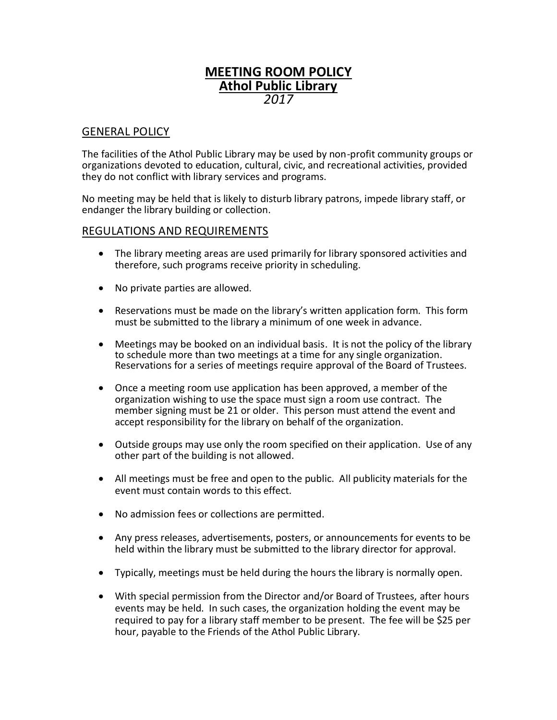## **MEETING ROOM POLICY Athol Public Library** *2017*

## GENERAL POLICY

The facilities of the Athol Public Library may be used by non-profit community groups or organizations devoted to education, cultural, civic, and recreational activities, provided they do not conflict with library services and programs.

No meeting may be held that is likely to disturb library patrons, impede library staff, or endanger the library building or collection.

## REGULATIONS AND REQUIREMENTS

- The library meeting areas are used primarily for library sponsored activities and therefore, such programs receive priority in scheduling.
- No private parties are allowed.
- Reservations must be made on the library's written application form. This form must be submitted to the library a minimum of one week in advance.
- Meetings may be booked on an individual basis. It is not the policy of the library to schedule more than two meetings at a time for any single organization. Reservations for a series of meetings require approval of the Board of Trustees.
- Once a meeting room use application has been approved, a member of the organization wishing to use the space must sign a room use contract. The member signing must be 21 or older. This person must attend the event and accept responsibility for the library on behalf of the organization.
- Outside groups may use only the room specified on their application. Use of any other part of the building is not allowed.
- All meetings must be free and open to the public. All publicity materials for the event must contain words to this effect.
- No admission fees or collections are permitted.
- Any press releases, advertisements, posters, or announcements for events to be held within the library must be submitted to the library director for approval.
- Typically, meetings must be held during the hours the library is normally open.
- With special permission from the Director and/or Board of Trustees, after hours events may be held. In such cases, the organization holding the event may be required to pay for a library staff member to be present. The fee will be \$25 per hour, payable to the Friends of the Athol Public Library.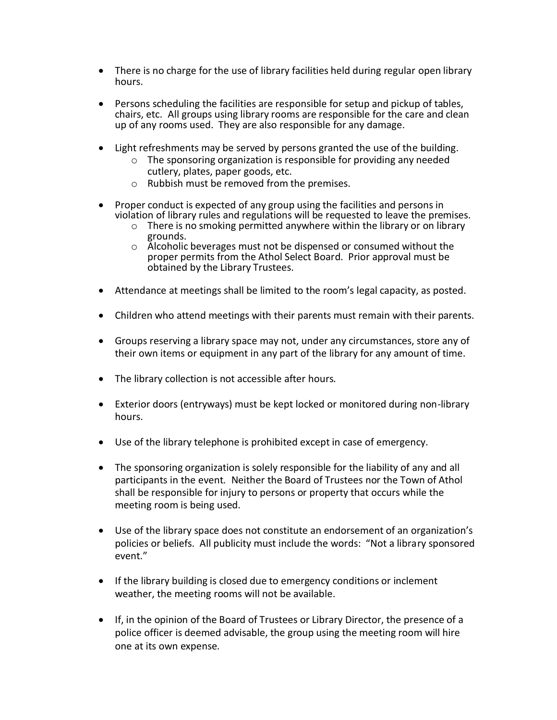- There is no charge for the use of library facilities held during regular open library hours.
- Persons scheduling the facilities are responsible for setup and pickup of tables, chairs, etc. All groups using library rooms are responsible for the care and clean up of any rooms used. They are also responsible for any damage.
- Light refreshments may be served by persons granted the use of the building.
	- o The sponsoring organization is responsible for providing any needed cutlery, plates, paper goods, etc.
	- o Rubbish must be removed from the premises.
- Proper conduct is expected of any group using the facilities and persons in violation of library rules and regulations will be requested to leave the premises.
	- $\circ$  There is no smoking permitted anywhere within the library or on library grounds.
	- o Alcoholic beverages must not be dispensed or consumed without the proper permits from the Athol Select Board. Prior approval must be obtained by the Library Trustees.
- Attendance at meetings shall be limited to the room's legal capacity, as posted.
- Children who attend meetings with their parents must remain with their parents.
- Groups reserving a library space may not, under any circumstances, store any of their own items or equipment in any part of the library for any amount of time.
- The library collection is not accessible after hours.
- Exterior doors (entryways) must be kept locked or monitored during non-library hours.
- Use of the library telephone is prohibited except in case of emergency.
- The sponsoring organization is solely responsible for the liability of any and all participants in the event. Neither the Board of Trustees nor the Town of Athol shall be responsible for injury to persons or property that occurs while the meeting room is being used.
- Use of the library space does not constitute an endorsement of an organization's policies or beliefs. All publicity must include the words: "Not a library sponsored event."
- If the library building is closed due to emergency conditions or inclement weather, the meeting rooms will not be available.
- If, in the opinion of the Board of Trustees or Library Director, the presence of a police officer is deemed advisable, the group using the meeting room will hire one at its own expense.